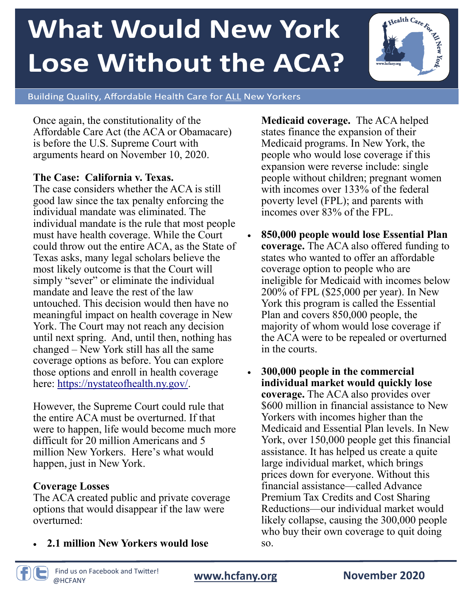# **What Would New York Lose Without the ACA?**



Building Quality, Affordable Health Care for ALL New Yorkers

Once again, the constitutionality of the Affordable Care Act (the ACA or Obamacare) is before the U.S. Supreme Court with arguments heard on November 10, 2020.

#### **The Case: California v. Texas.**

The case considers whether the ACA is still good law since the tax penalty enforcing the individual mandate was eliminated. The individual mandate is the rule that most people must have health coverage. While the Court could throw out the entire ACA, as the State of Texas asks, many legal scholars believe the most likely outcome is that the Court will simply "sever" or eliminate the individual mandate and leave the rest of the law untouched. This decision would then have no meaningful impact on health coverage in New York. The Court may not reach any decision until next spring. And, until then, nothing has changed – New York still has all the same coverage options as before. You can explore those options and enroll in health coverage here: [https://nystateofhealth.ny.gov/.](https://nystateofhealth.ny.gov/)

However, the Supreme Court could rule that the entire ACA must be overturned. If that were to happen, life would become much more difficult for 20 million Americans and 5 million New Yorkers. Here's what would happen, just in New York.

#### **Coverage Losses**

The ACA created public and private coverage options that would disappear if the law were overturned:

• **2.1 million New Yorkers would lose** 

**Medicaid coverage.** The ACA helped states finance the expansion of their Medicaid programs. In New York, the people who would lose coverage if this expansion were reverse include: single people without children; pregnant women with incomes over 133% of the federal poverty level (FPL); and parents with incomes over 83% of the FPL.

- **850,000 people would lose Essential Plan coverage.** The ACA also offered funding to states who wanted to offer an affordable coverage option to people who are ineligible for Medicaid with incomes below 200% of FPL (\$25,000 per year). In New York this program is called the Essential Plan and covers 850,000 people, the majority of whom would lose coverage if the ACA were to be repealed or overturned in the courts.
- **300,000 people in the commercial individual market would quickly lose coverage.** The ACA also provides over \$600 million in financial assistance to New Yorkers with incomes higher than the Medicaid and Essential Plan levels. In New York, over 150,000 people get this financial assistance. It has helped us create a quite large individual market, which brings prices down for everyone. Without this financial assistance—called Advance Premium Tax Credits and Cost Sharing Reductions—our individual market would likely collapse, causing the 300,000 people who buy their own coverage to quit doing so.